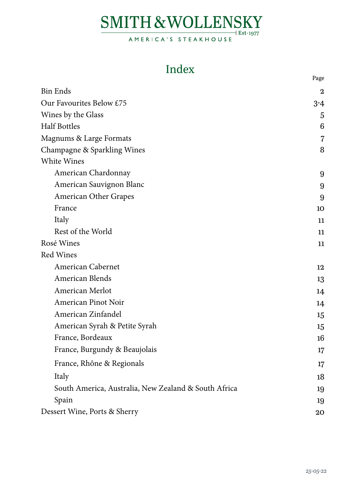AMERICA'S STEAKHOUSE

## Index

|                                                      | Page        |
|------------------------------------------------------|-------------|
| <b>Bin Ends</b>                                      | $\mathbf 2$ |
| Our Favourites Below £75                             | $3 - 4$     |
| Wines by the Glass                                   | 5           |
| <b>Half Bottles</b>                                  | 6           |
| Magnums & Large Formats                              | 7           |
| Champagne & Sparkling Wines                          | 8           |
| White Wines                                          |             |
| American Chardonnay                                  | 9           |
| American Sauvignon Blanc                             | 9           |
| <b>American Other Grapes</b>                         | 9           |
| France                                               | 10          |
| Italy                                                | 11          |
| Rest of the World                                    | 11          |
| Rosé Wines                                           | 11          |
| <b>Red Wines</b>                                     |             |
| American Cabernet                                    | 12          |
| American Blends                                      | 13          |
| American Merlot                                      | 14          |
| <b>American Pinot Noir</b>                           | 14          |
| American Zinfandel                                   | 15          |
| American Syrah & Petite Syrah                        | 15          |
| France, Bordeaux                                     | 16          |
| France, Burgundy & Beaujolais                        | 17          |
| France, Rhône & Regionals                            | 17          |
| Italy                                                | 18          |
| South America, Australia, New Zealand & South Africa | 19          |
| Spain                                                | 19          |
| Dessert Wine, Ports & Sherry                         | 20          |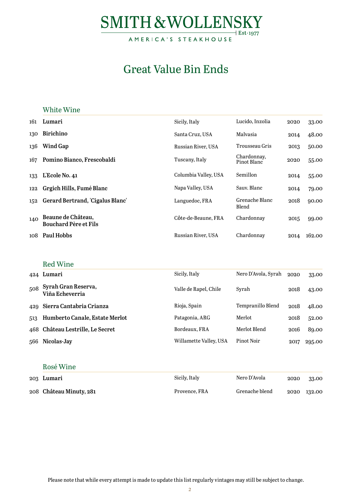## Great Value Bin Ends

#### <span id="page-1-0"></span>White Wine

| 161 | Lumari                                             | Sicily, Italy        | Lucido, Inzolia            | 2020 | 33.00  |
|-----|----------------------------------------------------|----------------------|----------------------------|------|--------|
| 130 | Birichino                                          | Santa Cruz, USA      | Malvasia                   | 2014 | 48.00  |
| 136 | Wind Gap                                           | Russian River, USA   | <b>Trousseau Gris</b>      | 2013 | 50.00  |
| 167 | Pomino Bianco, Frescobaldi                         | Tuscany, Italy       | Chardonnay,<br>Pinot Blanc | 2020 | 55.00  |
| 133 | L'Ecole No. 41                                     | Columbia Valley, USA | Semillon                   | 2014 | 55.00  |
| 122 | Grgich Hills, Fumé Blanc                           | Napa Valley, USA     | Sauv. Blanc                | 2014 | 79.00  |
| 152 | Gerard Bertrand, 'Cigalus Blanc'                   | Languedoc, FRA       | Grenache Blanc<br>Blend    | 2018 | 90.00  |
| 140 | Beaune de Château,<br><b>Bouchard Père et Fils</b> | Côte-de-Beaune, FRA  | Chardonnay                 | 2015 | 99.00  |
|     | 108 Paul Hobbs                                     | Russian River, USA   | Chardonnay                 | 2014 | 162.00 |

#### Red Wine

|     | 424 Lumari                             | Sicily, Italy          | Nero D'Avola, Syrah | 2020 | 33.00  |
|-----|----------------------------------------|------------------------|---------------------|------|--------|
| 508 | Syrah Gran Reserva,<br>Viña Echeverria | Valle de Rapel, Chile  | Syrah               | 2018 | 43.00  |
|     | 429 Sierra Cantabria Crianza           | Rioja, Spain           | Tempranillo Blend   | 2018 | 48.00  |
| 513 | Humberto Canale, Estate Merlot         | Patagonia, ARG         | Merlot              | 2018 | 52.00  |
|     | 468 Château Lestrille, Le Secret       | Bordeaux, FRA          | Merlot Blend        | 2016 | 89.00  |
| 566 | Nicolas-Jay                            | Willamette Valley, USA | Pinot Noir          | 2017 | 295.00 |
|     |                                        |                        |                     |      |        |

#### Rosé Wine

| 203 Lumari              | Sicily, Italy | Nero D'Avola   | 2020 | 33.00  |
|-------------------------|---------------|----------------|------|--------|
| 208 Château Minuty, 281 | Provence, FRA | Grenache blend | 2020 | 132.00 |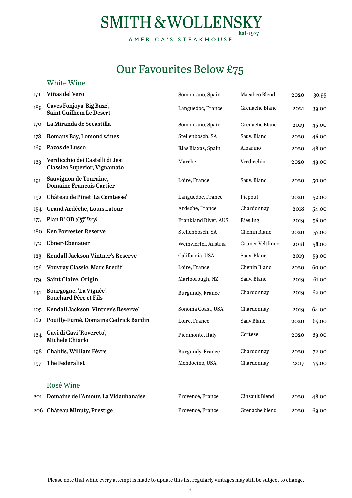## Our Favourites Below £75

<span id="page-2-0"></span>

|     | <b>White Wine</b>                                                      |                             |                  |      |       |
|-----|------------------------------------------------------------------------|-----------------------------|------------------|------|-------|
| 171 | Viñas del Vero                                                         | Somontano, Spain            | Macabeo Blend    | 2020 | 30.95 |
| 189 | Caves Fonjoya 'Big Buzz',<br><b>Saint Guilhem Le Desert</b>            | Languedoc, France           | Grenache Blanc   | 2021 | 39.00 |
| 170 | La Miranda de Secastilla                                               | Somontano, Spain            | Grenache Blanc   | 2019 | 45.00 |
| 178 | Romans Bay, Lomond wines                                               | Stellenbosch, SA            | Sauv. Blanc      | 2020 | 46.00 |
| 169 | Pazos de Lusco                                                         | Rias Biaxas, Spain          | Albariño         | 2020 | 48.00 |
| 163 | Verdicchio dei Castelli di Jesi<br><b>Classico Superior, Vignamato</b> | Marche                      | Verdicchio       | 2020 | 49.00 |
| 191 | Sauvignon de Touraine,<br><b>Domaine Francois Cartier</b>              | Loire, France               | Sauv. Blanc      | 2020 | 50.00 |
| 192 | Château de Pinet 'La Comtesse'                                         | Languedoc, France           | Picpoul          | 2020 | 52.00 |
| 154 | Grand Ardéche, Louis Latour                                            | Ardéche, France             | Chardonnay       | 2018 | 54.00 |
| 173 | Plan B! OD $(Off Dry)$                                                 | <b>Frankland River, AUS</b> | Riesling         | 2019 | 56.00 |
| 180 | <b>Ken Forrester Reserve</b>                                           | Stellenbosch, SA            | Chenin Blanc     | 2020 | 57.00 |
| 172 | Ebner-Ebenauer                                                         | Weinviertel, Austria        | Grüner Veltliner | 2018 | 58.00 |
| 123 | Kendall Jackson Vintner's Reserve                                      | California, USA             | Sauv. Blanc      | 2019 | 59.00 |
| 156 | <b>Vouvray Classic, Marc Brédif</b>                                    | Loire, France               | Chenin Blanc     | 2020 | 60.00 |
| 179 | Saint Claire, Origin                                                   | Marlborough, NZ             | Sauv. Blanc      | 2019 | 61.00 |
| 141 | Bourgogne, 'La Vignée',<br><b>Bouchard Père et Fils</b>                | Burgundy, France            | Chardonnay       | 2019 | 62.00 |
| 105 | Kendall Jackson 'Vintner's Reserve'                                    | Sonoma Coast, USA           | Chardonnay       | 2019 | 64.00 |
| 162 | Pouilly-Fumé, Domaine Cedrick Bardin                                   | Loire, France               | Sauv Blanc.      | 2020 | 65.00 |
| 164 | Gavi di Gavi 'Rovereto',<br>Michele Chiarlo                            | Piedmonte, Italy            | Cortese          | 2020 | 69.00 |
| 198 | Chablis, William Fèvre                                                 | Burgundy, France            | Chardonnay       | 2020 | 72.00 |
| 197 | The Federalist                                                         | Mendocino, USA              | Chardonnay       | 2017 | 75.00 |
|     | Rosé Wine                                                              |                             |                  |      |       |
| 201 | Domaine de l'Amour, La Vidaubanaise                                    | Provence, France            | Cinsault Blend   | 2020 | 48.00 |
|     | 206 Château Minuty, Prestige                                           | Provence, France            | Grenache blend   | 2020 | 69.00 |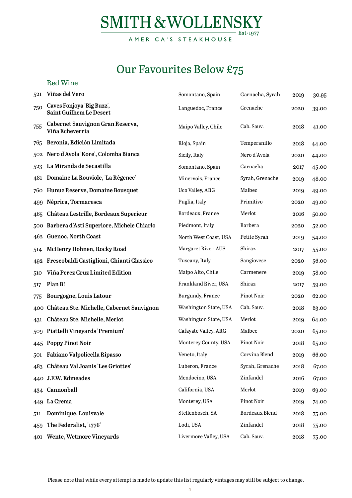## Our Favourites Below £75

#### Red Wine

| 521 | Viñas del Vero                                              | Somontano, Spain       | Garnacha, Syrah       | 2019 | 30.95 |
|-----|-------------------------------------------------------------|------------------------|-----------------------|------|-------|
| 750 | Caves Fonjoya 'Big Buzz',<br><b>Saint Guilhem Le Desert</b> | Languedoc, France      | Grenache              | 2020 | 39.00 |
| 755 | Cabernet Sauvignon Gran Reserva,<br>Viña Echeverria         | Maipo Valley, Chile    | Cab. Sauv.            | 2018 | 41.00 |
| 765 | Beronia, Edición Limitada                                   | Rioja, Spain           | Temperanillo          | 2018 | 44.00 |
| 502 | Nero d'Avola 'Kore', Colomba Bianca                         | Sicily, Italy          | Nero d'Avola          | 2020 | 44.00 |
| 523 | La Miranda de Secastilla                                    | Somontano, Spain       | Garnacha              | 2017 | 45.00 |
| 481 | Domaine La Rouviole, 'La Régence'                           | Minervois, France      | Syrah, Grenache       | 2019 | 48.00 |
| 760 | Hunuc Reserve, Domaine Bousquet                             | <b>Uco Valley, ARG</b> | Malbec                | 2019 | 49.00 |
| 499 | Nèprica, Tormaresca                                         | Puglia, Italy          | Primitivo             | 2020 | 49.00 |
| 465 | Château Lestrille, Bordeaux Superieur                       | Bordeaux, France       | Merlot                | 2016 | 50.00 |
|     | 500 Barbera d'Asti Superiore, Michele Chiarlo               | Piedmont, Italy        | Barbera               | 2020 | 52.00 |
| 462 | <b>Guenoc, North Coast</b>                                  | North West Coast, USA  | Petite Syrah          | 2019 | 54.00 |
| 514 | McHenry Hohnen, Rocky Road                                  | Margaret River, AUS    | Shiraz                | 2017 | 55.00 |
| 492 | Frescobaldi Castiglioni, Chianti Classico                   | Tuscany, Italy         | Sangiovese            | 2020 | 56.00 |
| 510 | Viña Perez Cruz Limited Edition                             | Maipo Alto, Chile      | Carmenere             | 2019 | 58.00 |
| 517 | Plan B!                                                     | Frankland River, USA   | Shiraz                | 2017 | 59.00 |
| 775 | Bourgogne, Louis Latour                                     | Burgundy, France       | Pinot Noir            | 2020 | 62.00 |
| 400 | Château Ste. Michelle, Cabernet Sauvignon                   | Washington State, USA  | Cab. Sauv.            | 2018 | 63.00 |
| 431 | Château Ste. Michelle, Merlot                               | Washington State, USA  | Merlot                | 2019 | 64.00 |
| 509 | Piattelli Vineyards 'Premium'                               | Cafayate Valley, ARG   | Malbec                | 2020 | 65.00 |
|     | 445 Poppy Pinot Noir                                        | Monterey County, USA   | Pinot Noir            | 2018 | 65.00 |
|     | 501 Fabiano Valpolicella Ripasso                            | Veneto, Italy          | Corvina Blend         | 2019 | 66.00 |
|     | 483 Château Val Joanis 'Les Griottes'                       | Luberon, France        | Syrah, Grenache       | 2018 | 67.00 |
|     | 440 J.F.W. Edmeades                                         | Mendocino, USA         | Zinfandel             | 2016 | 67.00 |
|     | 434 Cannonball                                              | California, USA        | Merlot                | 2019 | 69.00 |
|     | 449 La Crema                                                | Monterey, USA          | Pinot Noir            | 2019 | 74.00 |
| 511 | Dominique, Louisvale                                        | Stellenbosch, SA       | <b>Bordeaux Blend</b> | 2018 | 75.00 |
| 459 | The Federalist, '1776'                                      | Lodi, USA              | Zinfandel             | 2018 | 75.00 |
|     | 401 Wente, Wetmore Vineyards                                | Livermore Valley, USA  | Cab. Sauv.            | 2018 | 75.00 |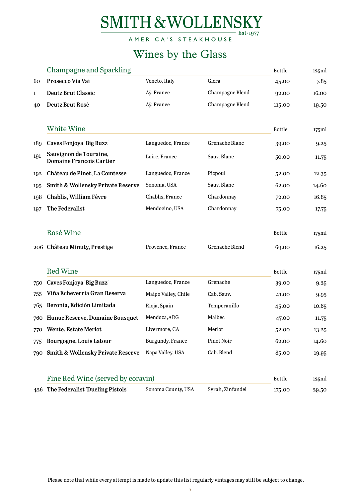# SMITH & WOLLENSKY AMERICA'S STEAKHOUSE

## Wines by the Glass

<span id="page-4-0"></span>

|     | Champagne and Sparkling                                   |                     |                  | <b>Bottle</b> | 125ml     |
|-----|-----------------------------------------------------------|---------------------|------------------|---------------|-----------|
| 60  | Prosecco Via Vai                                          | Veneto, Italy       | Glera            | 45.00         | 7.85      |
| 1   | <b>Deutz Brut Classic</b>                                 | Aÿ, France          | Champagne Blend  | 92.00         | 16.00     |
| 40  | Deutz Brut Rosé                                           | Aÿ, France          | Champagne Blend  | 115.00        | 19.50     |
|     | <b>White Wine</b>                                         |                     |                  | <b>Bottle</b> | 175ml     |
| 189 | Caves Fonjoya 'Big Buzz'                                  | Languedoc, France   | Grenache Blanc   | 39.00         | 9.25      |
| 191 | Sauvignon de Touraine,<br><b>Domaine Francois Cartier</b> | Loire, France       | Sauv. Blanc      | 50.00         | 11.75     |
| 192 | Château de Pinet, La Comtesse                             | Languedoc, France   | Picpoul          | 52.00         | 12.35     |
| 195 | Smith & Wollensky Private Reserve                         | Sonoma, USA         | Sauv. Blanc      | 62.00         | 14.60     |
| 198 | Chablis, William Fèvre                                    | Chablis, France     | Chardonnay       | 72.00         | 16.85     |
| 197 | The Federalist                                            | Mendocino, USA      | Chardonnay       | 75.00         | 17.75     |
|     |                                                           |                     |                  |               |           |
|     | Rosé Wine                                                 |                     |                  | <b>Bottle</b> | 175ml     |
|     | 206 Château Minuty, Prestige                              | Provence, France    | Grenache Blend   | 69.00         | 16.25     |
|     |                                                           |                     |                  |               |           |
|     | <b>Red Wine</b>                                           |                     |                  | <b>Bottle</b> | 175ml     |
| 750 | Caves Fonjoya 'Big Buzz'                                  | Languedoc, France   | Grenache         | 39.00         | 9.25      |
| 755 | Viña Echeverria Gran Reserva                              | Maipo Valley, Chile | Cab. Sauv.       | 41.00         | 9.95      |
| 765 | Beronia, Edición Limitada                                 | Rioja, Spain        | Temperanillo     | 45.00         | 10.65     |
| 760 | Hunuc Reserve, Domaine Bousquet                           | Mendoza, ARG        | Malbec           | 47.00         | 11.75     |
|     | 770 Wente, Estate Merlot                                  | Livermore, CA       | Merlot           | 52.00         | 13.25     |
| 775 | Bourgogne, Louis Latour                                   | Burgundy, France    | Pinot Noir       | 62.00         | 14.60     |
| 790 | Smith & Wollensky Private Reserve                         | Napa Valley, USA    | Cab. Blend       | 85.00         | $19.95\,$ |
|     | Fine Red Wine (served by coravin)                         |                     |                  | <b>Bottle</b> | 125ml     |
|     | 426 The Federalist 'Dueling Pistols'                      | Sonoma County, USA  | Syrah, Zinfandel | 175.00        | 29.50     |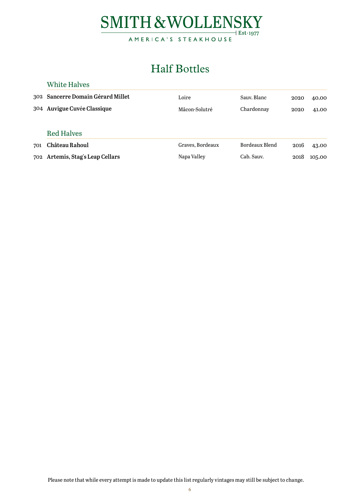

## Half Bottles

#### <span id="page-5-0"></span>White Halves

|     | 302 Sancerre Domain Gérard Millet | Loire            | Sauv. Blanc    | 2020 | 40.00  |
|-----|-----------------------------------|------------------|----------------|------|--------|
|     | 304 Auvigue Cuvée Classique       | Mâcon-Solutré    | Chardonnay     | 2020 | 41.00  |
|     |                                   |                  |                |      |        |
|     | <b>Red Halves</b>                 |                  |                |      |        |
| 701 | Château Rahoul                    | Graves, Bordeaux | Bordeaux Blend | 2016 | 43.00  |
| 702 | Artemis, Stag's Leap Cellars      | Napa Valley      | Cab. Sauv.     | 2018 | 105.00 |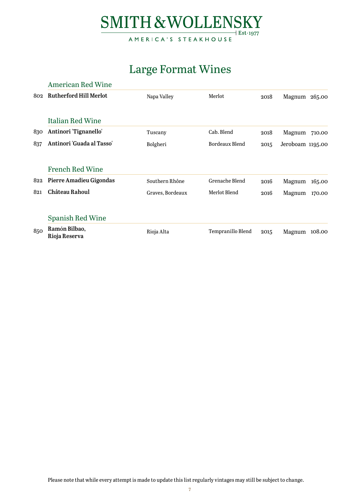

## Large Format Wines

|     | <b>American Red Wine</b>       |                  |                   |      |                  |        |
|-----|--------------------------------|------------------|-------------------|------|------------------|--------|
| 802 | <b>Rutherford Hill Merlot</b>  | Napa Valley      | Merlot            | 2018 | Magnum 265.00    |        |
|     | Italian Red Wine               |                  |                   |      |                  |        |
| 830 | Antinori 'Tignanello'          | Tuscany          | Cab. Blend        | 2018 | Magnum           | 710.00 |
| 837 | Antinori 'Guada al Tasso'      | Bolgheri         | Bordeaux Blend    | 2015 | Jeroboam 1195.00 |        |
|     | <b>French Red Wine</b>         |                  |                   |      |                  |        |
| 822 | Pierre Amadieu Gigondas        | Southern Rhône   | Grenache Blend    | 2016 | Magnum           | 165.00 |
| 821 | Château Rahoul                 | Graves, Bordeaux | Merlot Blend      | 2016 | Magnum           | 170.00 |
|     | Spanish Red Wine               |                  |                   |      |                  |        |
| 850 | Ramón Bilbao,<br>Rioja Reserva | Rioja Alta       | Tempranillo Blend | 2015 | Magnum           | 108.00 |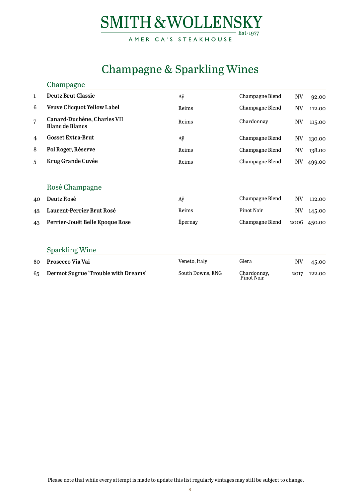#### SMITH & WOLLENSKY AMERICA'S STEAKHOUSE  $+$  Est $\cdot$ 1977

## Champagne & Sparkling Wines

<span id="page-7-0"></span>

|              | Champagne                                             |         |                 |           |             |
|--------------|-------------------------------------------------------|---------|-----------------|-----------|-------------|
| $\mathbf{1}$ | <b>Deutz Brut Classic</b>                             | Aÿ      | Champagne Blend | NV        | 92.00       |
| 6            | <b>Veuve Clicquot Yellow Label</b>                    | Reims   | Champagne Blend | <b>NV</b> | 112.00      |
| 7            | Canard-Duchêne, Charles VII<br><b>Blanc de Blancs</b> | Reims   | Chardonnay      | NV        | 115.00      |
| 4            | <b>Gosset Extra-Brut</b>                              | Aÿ      | Champagne Blend | <b>NV</b> | 130.00      |
| 8            | Pol Roger, Réserve                                    | Reims   | Champagne Blend | NV        | 138.00      |
| 5            | <b>Krug Grande Cuvée</b>                              | Reims   | Champagne Blend | NV        | 499.00      |
|              |                                                       |         |                 |           |             |
|              | Rosé Champagne                                        |         |                 |           |             |
| 40           | Deutz Rosé                                            | Аÿ      | Champagne Blend | <b>NV</b> | 112.00      |
| 42           | Laurent-Perrier Brut Rosé                             | Reims   | Pinot Noir      | NV        | 145.00      |
| 43           | Perrier-Jouët Belle Epoque Rose                       | Épernay | Champagne Blend |           | 2006 450.00 |
|              |                                                       |         |                 |           |             |
|              | <b>Sparkling Wine</b>                                 |         |                 |           |             |

| 60 Prosecco Via Vai                    | Veneto, Italy    | Glera                     | NV   | 45.00  |
|----------------------------------------|------------------|---------------------------|------|--------|
| 65 Dermot Sugrue 'Trouble with Dreams' | South Downs, ENG | Chardonnay,<br>Pinot Noir | 2017 | 122.00 |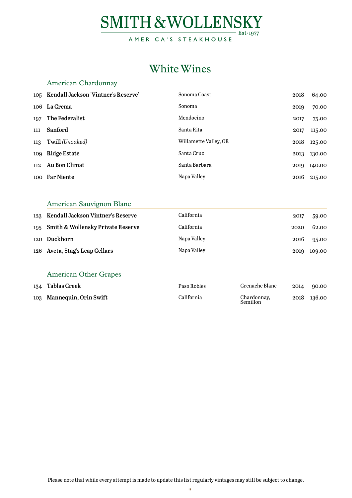### White Wines

<span id="page-8-0"></span>

|     | American Chardonnay                     |                       |      |        |
|-----|-----------------------------------------|-----------------------|------|--------|
|     | 105 Kendall Jackson 'Vintner's Reserve' | Sonoma Coast          | 2018 | 64.00  |
|     | 106 La Crema                            | Sonoma                | 2019 | 70.00  |
| 197 | The Federalist                          | Mendocino             | 2017 | 75.00  |
| 111 | Sanford                                 | Santa Rita            | 2017 | 115.00 |
|     | 113 Twill (Unoaked)                     | Willamette Valley, OR | 2018 | 125.00 |
|     | 109 Ridge Estate                        | Santa Cruz            | 2013 | 130.00 |
| 112 | Au Bon Climat                           | Santa Barbara         | 2019 | 140.00 |
|     | 100 Far Niente                          | Napa Valley           | 2016 | 215.00 |

#### American Sauvignon Blanc

| 123 Kendall Jackson Vintner's Reserve | California  | 2017 | 59.00  |
|---------------------------------------|-------------|------|--------|
| 195 Smith & Wollensky Private Reserve | California  | 2020 | 62.00  |
| 120 Duckhorn                          | Napa Valley | 2016 | 95.00  |
| 126 Aveta, Stag's Leap Cellars        | Napa Valley | 2019 | 109.00 |

#### American Other Grapes

| 134 Tablas Creek          | Paso Robles | Grenache Blanc          | 2014 | 90.00       |
|---------------------------|-------------|-------------------------|------|-------------|
| 103 Mannequin, Orin Swift | California  | Chardonnay,<br>Semillon |      | 2018 136.00 |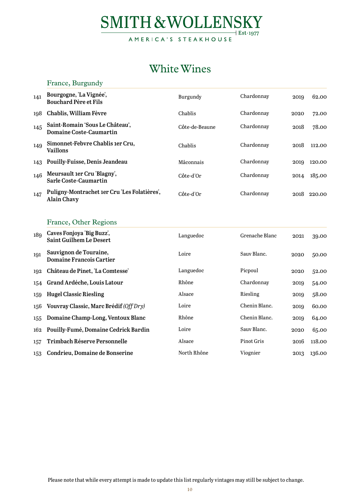AMERICA'S STEAKHOUSE

### White Wines

<span id="page-9-0"></span>

|     | France, Burgundy                                                   |                |            |      |        |
|-----|--------------------------------------------------------------------|----------------|------------|------|--------|
| 141 | Bourgogne, 'La Vignée',<br><b>Bouchard Père et Fils</b>            | Burgundy       | Chardonnay | 2019 | 62.00  |
| 198 | Chablis, William Fèvre                                             | Chablis        | Chardonnay | 2020 | 72.00  |
| 145 | Saint-Romain 'Sous Le Château',<br>Domaine Coste-Caumartin         | Côte-de-Beaune | Chardonnay | 2018 | 78.00  |
| 149 | Simonnet-Febvre Chablis 1er Cru,<br><b>Vaillons</b>                | Chablis        | Chardonnay | 2018 | 112.00 |
| 143 | <b>Pouilly-Fuisse, Denis Jeandeau</b>                              | Mâconnais      | Chardonnay | 2019 | 120.00 |
| 146 | Meursault 1er Cru 'Blagny',<br>Sarle Coste-Caumartin               | Côte-d'Or      | Chardonnay | 2014 | 185.00 |
| 147 | Puligny-Montrachet 1er Cru 'Les Folatières',<br><b>Alain Chavy</b> | Côte-d'Or      | Chardonnay | 2018 | 220.00 |

#### France, Other Regions

| 189 | Caves Fonjoya 'Big Buzz',<br><b>Saint Guilhem Le Desert</b> | Languedoc   | Grenache Blanc | 2021 | 39.00  |
|-----|-------------------------------------------------------------|-------------|----------------|------|--------|
| 191 | Sauvignon de Touraine,<br><b>Domaine Francois Cartier</b>   | Loire       | Sauv Blanc.    | 2020 | 50.00  |
| 192 | Château de Pinet, 'La Comtesse'                             | Languedoc   | Picpoul        | 2020 | 52.00  |
|     | 154 Grand Ardéche, Louis Latour                             | Rhône       | Chardonnay     | 2019 | 54.00  |
| 159 | <b>Hugel Classic Riesling</b>                               | Alsace      | Riesling       | 2019 | 58.00  |
| 156 | Vouvray Classic, Marc Brédif (Off Dry)                      | Loire       | Chenin Blanc.  | 2019 | 60.00  |
| 155 | Domaine Champ-Long, Ventoux Blanc                           | Rhône       | Chenin Blanc.  | 2019 | 64.00  |
| 162 | Pouilly-Fumé, Domaine Cedrick Bardin                        | Loire       | Sauv Blanc.    | 2020 | 65.00  |
| 157 | <b>Trimbach Réserve Personnelle</b>                         | Alsace      | Pinot Gris     | 2016 | 118.00 |
| 153 | Condrieu, Domaine de Bonserine                              | North Rhône | Viognier       | 2013 | 136.00 |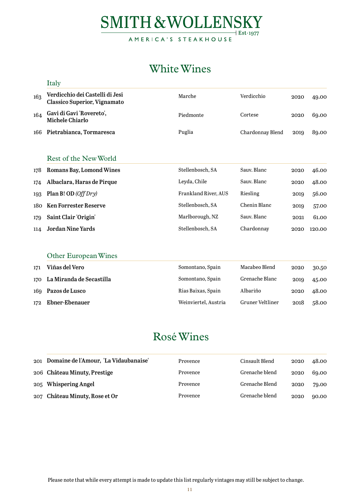### White Wines

<span id="page-10-0"></span>

|     | Italy                                                                  |                      |                  |      |        |
|-----|------------------------------------------------------------------------|----------------------|------------------|------|--------|
| 163 | Verdicchio dei Castelli di Jesi<br><b>Classico Superior, Vignamato</b> | Marche               | Verdicchio       | 2020 | 49.00  |
| 164 | Gavi di Gavi 'Rovereto',<br><b>Michele Chiarlo</b>                     | Piedmonte            | Cortese          | 2020 | 69.00  |
| 166 | Pietrabianca, Tormaresca                                               | Puglia               | Chardonnay Blend | 2019 | 89.00  |
|     | Rest of the New World                                                  |                      |                  |      |        |
| 178 | Romans Bay, Lomond Wines                                               | Stellenbosch, SA     | Sauv. Blanc      | 2020 | 46.00  |
| 174 | Albaclara, Haras de Pirque                                             | Leyda, Chile         | Sauv. Blanc      | 2020 | 48.00  |
| 193 | Plan B! OD $(Off Dry)$                                                 | Frankland River, AUS | Riesling         | 2019 | 56.00  |
| 180 | <b>Ken Forrester Reserve</b>                                           | Stellenbosch, SA     | Chenin Blanc     | 2019 | 57.00  |
| 179 | Saint Clair 'Origin'                                                   | Marlborough, NZ      | Sauv. Blanc      | 2021 | 61.00  |
| 114 | <b>Jordan Nine Yards</b>                                               | Stellenbosch, SA     | Chardonnay       | 2020 | 120.00 |
|     | <b>Other European Wines</b>                                            |                      |                  |      |        |
| 171 | Viñas del Vero                                                         | Somontano, Spain     | Macabeo Blend    | 2020 | 30.50  |
| 170 | La Miranda de Secastilla                                               | Somontano, Spain     | Grenache Blanc   | 2019 | 45.00  |
| 169 | Pazos de Lusco                                                         | Rías Baixas, Spain   | Albariño         | 2020 | 48.00  |
| 172 | <b>Ebner-Ebenauer</b>                                                  | Weinviertel, Austria | Gruner Veltliner | 2018 | 58.00  |

### Rosé Wines

| 201 Domaine de l'Amour, 'La Vidaubanaise' | Provence | Cinsault Blend | 2020 | 48.00 |
|-------------------------------------------|----------|----------------|------|-------|
| 206 Château Minuty, Prestige              | Provence | Grenache blend | 2020 | 69.00 |
| 205 Whispering Angel                      | Provence | Grenache Blend | 2020 | 79.00 |
| 207 Château Minuty, Rose et Or            | Provence | Grenache blend | 2020 | 90.00 |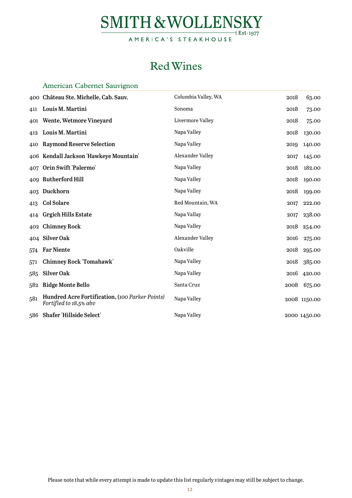AMERICA'S STEAKHOUSE

## Red Wines

### <span id="page-11-0"></span>American Cabernet Sauvignon **Château Ste. Michelle, Cab. Sauv.** Columbia Valley, WA 2018 63.00 **Louis M. Martini** Sonoma 2018 73.00 **Wente, Wetmore Vineyard** Livermore Valley 2018 75.00 **Louis M. Martini** Napa Valley 2018 130.00 **Raymond Reserve Selection** Napa Valley 2019 140.00

|     | 410 Raymond Reserve Selection                                             | $\alpha$ $\alpha$ $\alpha$ $\alpha$ $\alpha$ |      | 2019 140.00  |
|-----|---------------------------------------------------------------------------|----------------------------------------------|------|--------------|
|     | 406 Kendall Jackson 'Hawkeye Mountain'                                    | Alexander Valley                             | 2017 | 145.00       |
|     | 407 Orin Swift 'Palermo'                                                  | Napa Valley                                  | 2018 | 182.00       |
|     | 409 Rutherford Hill                                                       | Napa Valley                                  | 2018 | 190.00       |
|     | 403 Duckhorn                                                              | Napa Valley                                  | 2018 | 199.00       |
| 413 | <b>Col Solare</b>                                                         | Red Mountain, WA                             | 2017 | 222.00       |
|     | 414 Grgich Hills Estate                                                   | Napa Vallay                                  | 2017 | 238.00       |
|     | 402 Chimney Rock                                                          | Napa Valley                                  |      | 2018 254.00  |
|     | 404 Silver Oak                                                            | Alexander Valley                             | 2016 | 275.00       |
| 574 | <b>Far Niente</b>                                                         | Oakville                                     | 2018 | 295.00       |
| 571 | <b>Chimney Rock 'Tomahawk'</b>                                            | Napa Valley                                  | 2018 | 385.00       |
| 585 | <b>Silver Oak</b>                                                         | Napa Valley                                  |      | 2016 420.00  |
| 582 | <b>Ridge Monte Bello</b>                                                  | Santa Cruz                                   | 2008 | 675.00       |
| 581 | Hundred Acre Fortification, (100 Parker Points)<br>Fortified to 18.5% abv | Napa Valley                                  |      | 2008 1150.00 |
|     | 586 Shafer 'Hillside Select'                                              | Napa Valley                                  |      | 2000 1450.00 |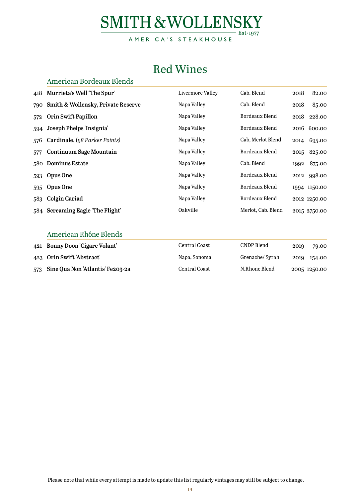## Red Wines

<span id="page-12-0"></span>

|     | <b>American Bordeaux Blends</b>    |                  |                    |      |              |
|-----|------------------------------------|------------------|--------------------|------|--------------|
| 418 | Murrieta's Well 'The Spur'         | Livermore Valley | Cab. Blend         | 2018 | 82.00        |
| 790 | Smith & Wollensky, Private Reserve | Napa Valley      | Cab. Blend         | 2018 | 85.00        |
| 572 | <b>Orin Swift Papillon</b>         | Napa Valley      | Bordeaux Blend     |      | 2018 228.00  |
| 594 | Joseph Phelps 'Insignia'           | Napa Valley      | Bordeaux Blend     |      | 2016 600.00  |
| 576 | Cardinale, (98 Parker Points)      | Napa Valley      | Cab, Merlot Blend  |      | 2014 695.00  |
| 577 | <b>Continuum Sage Mountain</b>     | Napa Valley      | Bordeaux Blend     | 2015 | 825.00       |
| 580 | <b>Dominus Estate</b>              | Napa Valley      | Cab. Blend         | 1992 | 875.00       |
| 593 | Opus One                           | Napa Valley      | Bordeaux Blend     | 2012 | 998.00       |
| 595 | Opus One                           | Napa Valley      | Bordeaux Blend     |      | 1994 1150.00 |
| 583 | <b>Colgin Cariad</b>               | Napa Valley      | Bordeaux Blend     |      | 2012 1250.00 |
|     | 584 Screaming Eagle 'The Flight'   | Oakville         | Merlot, Cab. Blend |      | 2015 2750.00 |
|     |                                    |                  |                    |      |              |

#### American Rhône Blends

| 421 Bonny Doon 'Cigare Volant'       | Central Coast        | CNDP Blend      | 2019 | 79.00        |
|--------------------------------------|----------------------|-----------------|------|--------------|
| 423 Orin Swift Abstract              | Napa, Sonoma         | Grenache/ Syrah | 2019 | 154.00       |
| 573 Sine Qua Non 'Atlantis' Fe203-2a | <b>Central Coast</b> | N.Rhone Blend   |      | 2005 1250.00 |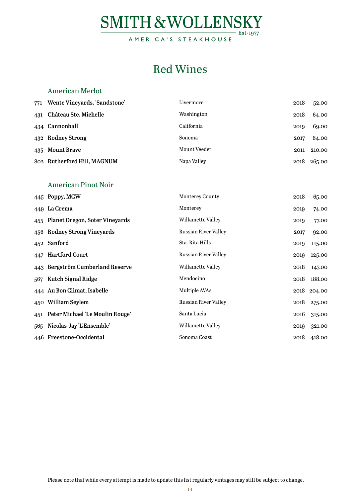<span id="page-13-0"></span>

## Red Wines

#### American Merlot

|     | 771 Wente Vineyards, 'Sandstone' | Livermore    | 2018 | 52.00  |
|-----|----------------------------------|--------------|------|--------|
| 431 | Château Ste. Michelle            | Washington   | 2018 | 64.00  |
|     | 434 Cannonball                   | California   | 2019 | 69.00  |
|     | 432 Rodney Strong                | Sonoma       | 2017 | 84.00  |
|     | 435 Mount Brave                  | Mount Veeder | 2011 | 210.00 |
|     | 802 Rutherford Hill, MAGNUM      | Napa Valley  | 2018 | 265.00 |

#### American Pinot Noir

| 445 Poppy, MCW                      | <b>Monterey County</b> | 2018 | 65.00       |
|-------------------------------------|------------------------|------|-------------|
| 449 La Crema                        | Monterey               | 2019 | 74.00       |
| 455 Planet Oregon, Soter Vineyards  | Willamette Valley      | 2019 | 77.00       |
| 456 Rodney Strong Vineyards         | Russian River Valley   | 2017 | 92.00       |
| 452 Sanford                         | Sta. Rita Hills        | 2019 | 115.00      |
| 447 Hartford Court                  | Russian River Valley   | 2019 | 125.00      |
| 443 Bergström Cumberland Reserve    | Willamette Valley      | 2018 | 147.00      |
| 567 Kutch Signal Ridge              | Mendocino              |      | 2018 188.00 |
| 444 Au Bon Climat, Isabelle         | Multiple AVAs          |      | 2018 204.00 |
| 450 William Seylem                  | Russian River Valley   | 2018 | 275.00      |
| 451 Peter Michael 'Le Moulin Rouge' | Santa Lucia            | 2016 | 315.00      |
| 565 Nicolas-Jay 'L'Ensemble'        | Willamette Valley      | 2019 | 321.00      |
| 446 Freestone-Occidental            | Sonoma Coast           |      | 2018 418.00 |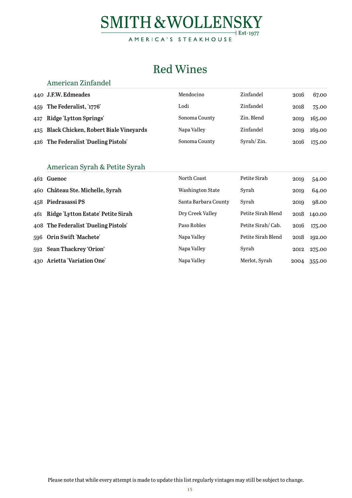## Red Wines

#### <span id="page-14-0"></span>American Zinfandel

| 440 J.F.W. Edmeades                       | Mendocino     | Zinfandel  | 2016 | 67.00  |
|-------------------------------------------|---------------|------------|------|--------|
| 459 The Federalist, '1776'                | Lodi          | Zinfandel  | 2018 | 75.00  |
| 427 Ridge 'Lytton Springs'                | Sonoma County | Zin. Blend | 2019 | 165.00 |
| 425 Black Chicken, Robert Biale Vineyards | Napa Valley   | Zinfandel  | 2019 | 169.00 |
| 426 The Federalist 'Dueling Pistols'      | Sonoma County | Syrah/Zin. | 2016 | 175.00 |

#### American Syrah & Petite Syrah

|     | 462 Guenoc                            | North Coast             | Petite Sirah       | 2019 | 54.00  |
|-----|---------------------------------------|-------------------------|--------------------|------|--------|
|     | 460 Château Ste. Michelle, Syrah      | <b>Washington State</b> | Syrah              | 2019 | 64.00  |
|     | 458 Piedrasassi PS                    | Santa Barbara County    | Syrah              | 2019 | 98.00  |
|     | 461 Ridge Lytton Estate' Petite Sirah | Dry Creek Valley        | Petite Sirah Blend | 2018 | 140.00 |
|     | 408 The Federalist 'Dueling Pistols'  | Paso Robles             | Petite Sirah/Cab.  | 2016 | 175.00 |
|     | 596 Orin Swift 'Machete'              | Napa Valley             | Petite Sirah Blend | 2018 | 192.00 |
| 592 | <b>Sean Thackrey 'Orion'</b>          | Napa Valley             | Syrah              | 2012 | 275.00 |
|     | 430 Arietta 'Variation One'           | Napa Valley             | Merlot, Syrah      | 2004 | 355.00 |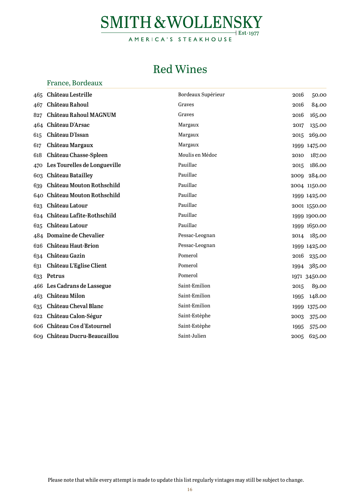# SMITH & WOLLENSKY AMERICA'S STEAKHOUSE

## Red Wines

<span id="page-15-0"></span>

| 465 | Château Lestrille             | Bordeaux Supérieur | 2016 | 50.00        |
|-----|-------------------------------|--------------------|------|--------------|
| 467 | Château Rahoul                | Graves             | 2016 | 84.00        |
| 827 | Château Rahoul MAGNUM         | Graves             | 2016 | 165.00       |
|     | 464 Château D'Arsac           | Margaux            | 2017 | 135.00       |
| 615 | Château D'Issan               | Margaux            | 2015 | 269.00       |
| 617 | Château Margaux               | Margaux            |      | 1999 1475.00 |
| 618 | <b>Château Chasse-Spleen</b>  | Moulis en Médoc    | 2010 | 187.00       |
| 470 | Les Tourelles de Longueville  | Pauillac           | 2015 | 186.00       |
| 603 | <b>Château Batailley</b>      | Pauillac           |      | 2009 284.00  |
| 639 | Château Mouton Rothschild     | Pauillac           |      | 2004 1150.00 |
|     | 640 Château Mouton Rothschild | Pauillac           |      | 1999 1425.00 |
| 623 | Château Latour                | Pauillac           |      | 2001 1550.00 |
|     | 624 Château Lafite-Rothschild | Pauillac           |      | 1999 1900.00 |
|     | 625 Château Latour            | Pauillac           |      | 1999 1650.00 |
|     | 484 Domaine de Chevalier      | Pessac-Leognan     | 2014 | 185.00       |
| 626 | <b>Château Haut-Brion</b>     | Pessac-Leognan     |      | 1999 1425.00 |
|     | 634 Château Gazin             | Pomerol            | 2016 | 235.00       |
| 631 | Château L'Eglise Client       | Pomerol            | 1994 | 385.00       |
| 633 | Petrus                        | Pomerol            |      | 1971 3450.00 |
|     | 466 Les Cadrans de Lassegue   | Saint-Emilion      | 2015 | 89.00        |
| 463 | Château Milon                 | Saint-Emilion      | 1995 | 148.00       |
| 635 | <b>Château Cheval Blanc</b>   | Saint-Emilion      |      | 1999 1375.00 |
| 622 | Château Calon-Ségur           | Saint-Estèphe      | 2003 | 375.00       |
|     | 606 Château Cos d'Estournel   | Saint-Estèphe      | 1995 | 575.00       |
|     | 609 Château Ducru-Beaucaillou | Saint-Julien       | 2005 | 625.00       |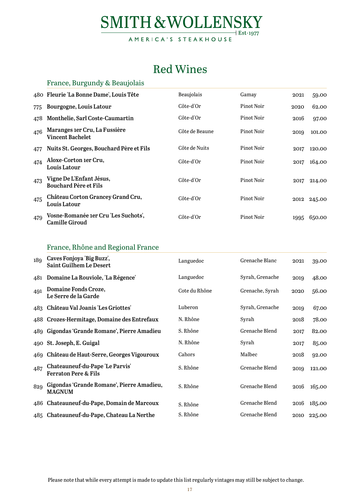## Red Wines

<span id="page-16-0"></span>

|     | France, Burgundy & Beaujolais                                 |                |            |      |             |
|-----|---------------------------------------------------------------|----------------|------------|------|-------------|
|     | 480 Fleurie La Bonne Dame', Louis Tête                        | Beaujolais     | Gamay      | 2021 | 59.00       |
| 775 | Bourgogne, Louis Latour                                       | Côte-d'Or      | Pinot Noir | 2020 | 62.00       |
| 478 | Monthelie, Sarl Coste-Caumartin                               | Côte-d'Or      | Pinot Noir | 2016 | 97.00       |
| 476 | Maranges 1er Cru, La Fussière<br><b>Vincent Bachelet</b>      | Côte de Beaune | Pinot Noir | 2019 | 101.00      |
| 477 | Nuits St. Georges, Bouchard Père et Fils                      | Côte de Nuits  | Pinot Noir | 2017 | 120.00      |
| 474 | Aloxe-Corton 1er Cru,<br><b>Louis Latour</b>                  | Côte-d'Or      | Pinot Noir | 2017 | 164.00      |
| 473 | Vigne De L'Enfant Jésus,<br><b>Bouchard Père et Fils</b>      | Côte-d'Or      | Pinot Noir | 2017 | 214.00      |
| 475 | Château Corton Grancey Grand Cru,<br><b>Louis Latour</b>      | Côte-d'Or      | Pinot Noir |      | 2012 245.00 |
| 479 | Vosne-Romanée 1er Cru 'Les Suchots',<br><b>Camille Giroud</b> | Côte-d'Or      | Pinot Noir | 1995 | 650.00      |

#### France, Rhône and Regional France

| 189 | Caves Fonjoya 'Big Buzz',<br><b>Saint Guilhem Le Desert</b>        | Languedoc     | Grenache Blanc  | 2021 | 39.00  |
|-----|--------------------------------------------------------------------|---------------|-----------------|------|--------|
|     | 481 Domaine La Rouviole, 'La Régence'                              | Languedoc     | Syrah, Grenache | 2019 | 48.00  |
| 491 | Domaine Fonds Croze,<br>Le Serre de la Garde                       | Cote du Rhône | Grenache, Syrah | 2020 | 56.00  |
|     | 483 Château Val Joanis 'Les Griottes'                              | Luberon       | Syrah, Grenache | 2019 | 67.00  |
|     | 488 Crozes-Hermitage, Domaine des Entrefaux                        | N. Rhône      | Syrah           | 2018 | 78.00  |
| 489 | Gigondas 'Grande Romane', Pierre Amadieu                           | S. Rhône      | Grenache Blend  | 2017 | 82.00  |
| 490 | St. Joseph, E. Guigal                                              | N. Rhône      | Syrah           | 2017 | 85.00  |
|     | 469 Château de Haut-Serre, Georges Vigouroux                       | Cahors        | Malbec          | 2018 | 92.00  |
| 487 | Chateauneuf-du-Pape 'Le Parvis'<br><b>Ferraton Pere &amp; Fils</b> | S. Rhône      | Grenache Blend  | 2019 | 121.00 |
| 829 | Gigondas 'Grande Romane', Pierre Amadieu,<br><b>MAGNUM</b>         | S. Rhône      | Grenache Blend  | 2016 | 165.00 |
|     | 486 Chateauneuf-du-Pape, Domain de Marcoux                         | S. Rhône      | Grenache Blend  | 2016 | 185.00 |
|     | 485 Chateauneuf-du-Pape, Chateau La Nerthe                         | S. Rhône      | Grenache Blend  | 2010 | 225.00 |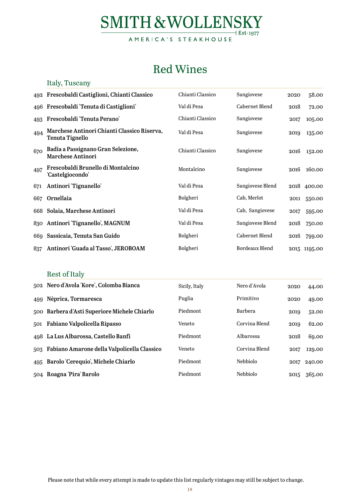AMERICA'S STEAKHOUSE

## Red Wines

<span id="page-17-0"></span>

|     | Italy, Tuscany                                                 |                  |                  |      |              |
|-----|----------------------------------------------------------------|------------------|------------------|------|--------------|
|     | 492 Frescobaldi Castiglioni, Chianti Classico                  | Chianti Classico | Sangiovese       | 2020 | 58.00        |
| 496 | Frescobaldi 'Tenuta di Castiglioni'                            | Val di Pesa      | Cabernet Blend   | 2018 | 72.00        |
| 493 | Frescobaldi 'Tenuta Perano'                                    | Chianti Classico | Sangiovese       | 2017 | 105.00       |
| 494 | Marchese Antinori Chianti Classico Riserva,<br>Tenuta Tignello | Val di Pesa      | Sangiovese       | 2019 | 135.00       |
| 670 | Badia a Passignano Gran Selezione,<br><b>Marchese Antinori</b> | Chianti Classico | Sangiovese       | 2016 | 152.00       |
| 497 | Frescobaldi Brunello di Montalcino<br>'Castelgiocondo'         | Montalcino       | Sangiovese       | 2016 | 160.00       |
| 671 | Antinori 'Tignanello'                                          | Val di Pesa      | Sangiovese Blend |      | 2018 400.00  |
| 667 | Ornellaia                                                      | Bolgheri         | Cab, Merlot      | 2011 | 550.00       |
|     | 668 Solaia, Marchese Antinori                                  | Val di Pesa      | Cab, Sangiovese  | 2017 | 595.00       |
| 830 | Antinori 'Tignanello', MAGNUM                                  | Val di Pesa      | Sangiovese Blend | 2018 | 750.00       |
| 669 | Sassicaia, Tenuta San Guido                                    | Bolgheri         | Cabernet Blend   | 2016 | 799.00       |
| 837 | Antinori 'Guada al Tasso', JEROBOAM                            | Bolgheri         | Bordeaux Blend   |      | 2015 1195.00 |

#### Rest of Italy

|     | 502 Nero d'Avola 'Kore', Colomba Bianca         | Sicily, Italy | Nero d'Avola    | 2020 | 44.00  |
|-----|-------------------------------------------------|---------------|-----------------|------|--------|
| 499 | Nèprica, Tormaresca                             | Puglia        | Primitivo       | 2020 | 49.00  |
|     | 500 Barbera d'Asti Superiore Michele Chiarlo    | Piedmont      | Barbera         | 2019 | 52.00  |
| 501 | Fabiano Valpolicella Ripasso                    | Veneto        | Corvina Blend   | 2019 | 62.00  |
|     | 498 La Lus Albarossa, Castello Banfi            | Piedmont      | Albarossa       | 2018 | 69.00  |
|     | 503 Fabiano Amarone della Valpolicella Classico | Veneto        | Corvina Blend   | 2017 | 129.00 |
| 495 | Barolo 'Cerequio', Michele Chiarlo              | Piedmont      | <b>Nebbiolo</b> | 2017 | 240.00 |
| 504 | Roagna 'Pira' Barolo                            | Piedmont      | <b>Nebbiolo</b> | 2015 | 365.00 |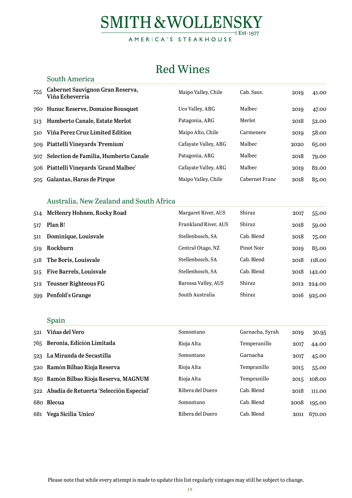## Red Wines

| 755 | Cabernet Sauvignon Gran Reserva,<br>Viña Echeverria | Maipo Valley, Chile  | Cab. Sauv.     | 2019 | 41.00 |
|-----|-----------------------------------------------------|----------------------|----------------|------|-------|
|     | 760 Hunuc Reserve, Domaine Bousquet                 | Uco Valley, ARG      | Malbec         | 2019 | 47.00 |
| 513 | Humberto Canale, Estate Merlot                      | Patagonia, ARG       | Merlot         | 2018 | 52.00 |
| 510 | Viña Perez Cruz Limited Edition                     | Maipo Alto, Chile    | Carmenere      | 2019 | 58.00 |
| 509 | Piattelli Vineyards 'Premium'                       | Cafayate Valley, ARG | Malbec         | 2020 | 65.00 |
| 507 | Selection de Familia, Humberto Canale               | Patagonia, ARG       | Malbec         | 2018 | 79.00 |
|     | 506 Piattelli Vineyards 'Grand Malbec'              | Cafayate Valley, ARG | Malbec         | 2019 | 82.00 |
| 505 | Galantas, Haras de Pirque                           | Maipo Valley, Chile  | Cabernet Franc | 2018 | 85.00 |

#### Australia, New Zealand and South Africa

| 514 | McHenry Hohnen, Rocky Road     | Margaret River, AUS         | Shiraz     | 2017 | 55.00  |
|-----|--------------------------------|-----------------------------|------------|------|--------|
| 517 | Plan B!                        | <b>Frankland River, AUS</b> | Shiraz     | 2018 | 59.00  |
| 511 | Dominique, Louisvale           | Stellenbosch, SA            | Cab. Blend | 2018 | 75.00  |
| 519 | Rockburn                       | Central Otago, NZ           | Pinot Noir | 2019 | 85.00  |
| 518 | The Boris, Louisvale           | Stellenbosch, SA            | Cab. Blend | 2018 | 118.00 |
| 515 | <b>Five Barrels, Louisvale</b> | Stellenbosch, SA            | Cab. Blend | 2018 | 142.00 |
| 512 | Teusner Righteous FG           | Barossa Valley, AUS         | Shiraz     | 2012 | 224.00 |
| 599 | Penfold's Grange               | South Australia             | Shiraz     | 2016 | 925.00 |

#### Spain

<span id="page-18-0"></span>South America

| 521 | Viñas del Vero                              | Somontano        | Garnacha, Syrah | 2019 | 30.95       |
|-----|---------------------------------------------|------------------|-----------------|------|-------------|
| 765 | Beronia, Edición Limitada                   | Rioja Alta       | Temperanillo    | 2017 | 44.00       |
|     | 523 La Miranda de Secastilla                | Somontano        | Garnacha        | 2017 | 45.00       |
|     | 520 Ramón Bilbao Rioja Reserva              | Rioja Alta       | Tempranillo     | 2015 | 55.00       |
|     | 850 Ramón Bilbao Rioja Reserva, MAGNUM      | Rioja Alta       | Tempranillo     | 2015 | 108.00      |
|     | 522 Abadia de Retuerta 'Selección Especial' | Ribera del Duero | Cab. Blend      | 2018 | 111.00      |
|     | 680 Blecua                                  | Somontano        | Cab. Blend      | 2008 | 195.00      |
| 681 | Vega Sicilia 'Unico'                        | Ribera del Duero | Cab. Blend      |      | 2011 670.00 |